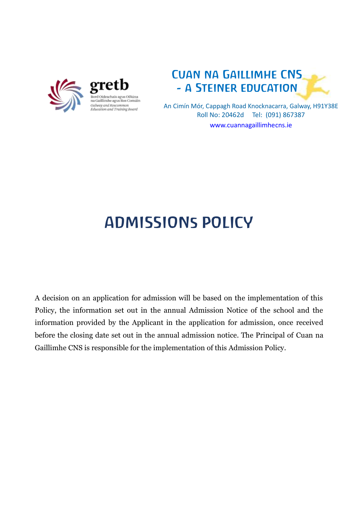



An Cimín Mór, Cappagh Road Knocknacarra, Galway, H91Y38E Roll No: 20462d Tel: (091) 867387 [www.cuannagaillimhecns.ie](http://www.cuannagaillimhecns.ie/)

## ADMISSIONs POLICY

A decision on an application for admission will be based on the implementation of this Policy, the information set out in the annual Admission Notice of the school and the information provided by the Applicant in the application for admission, once received before the closing date set out in the annual admission notice. The Principal of Cuan na Gaillimhe CNS is responsible for the implementation of this Admission Policy.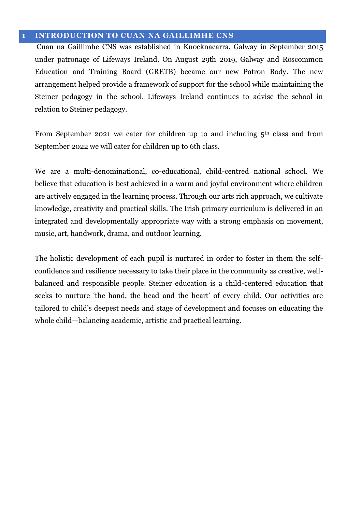#### **1 INTRODUCTION TO CUAN NA GAILLIMHE CNS**

Cuan na Gaillimhe CNS was established in Knocknacarra, Galway in September 2015 under patronage of Lifeways Ireland. On August 29th 2019, Galway and Roscommon Education and Training Board (GRETB) became our new Patron Body. The new arrangement helped provide a framework of support for the school while maintaining the Steiner pedagogy in the school. Lifeways Ireland continues to advise the school in relation to Steiner pedagogy.

From September 2021 we cater for children up to and including  $5<sup>th</sup>$  class and from September 2022 we will cater for children up to 6th class.

We are a multi-denominational, co-educational, child-centred national school. We believe that education is best achieved in a warm and joyful environment where children are actively engaged in the learning process. Through our arts rich approach, we cultivate knowledge, creativity and practical skills. The Irish primary curriculum is delivered in an integrated and developmentally appropriate way with a strong emphasis on movement, music, art, handwork, drama, and outdoor learning.

The holistic development of each pupil is nurtured in order to foster in them the selfconfidence and resilience necessary to take their place in the community as creative, wellbalanced and responsible people. Steiner education is a child-centered education that seeks to nurture 'the hand, the head and the heart' of every child. Our activities are tailored to child's deepest needs and stage of development and focuses on educating the whole child—balancing academic, artistic and practical learning.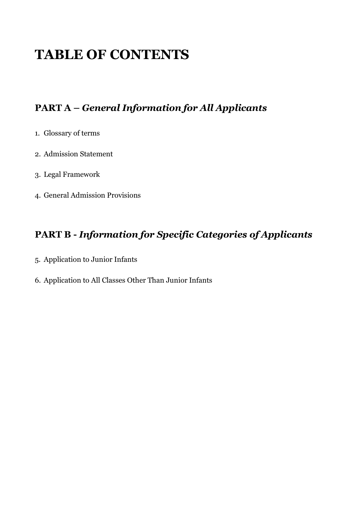### **TABLE OF CONTENTS**

#### **PART A –** *General Information for All Applicants*

- 1. Glossary of terms
- 2. Admission Statement
- 3. Legal Framework
- 4. General Admission Provisions

#### **PART B -** *Information for Specific Categories of Applicants*

- 5. Application to Junior Infants
- 6. Application to All Classes Other Than Junior Infants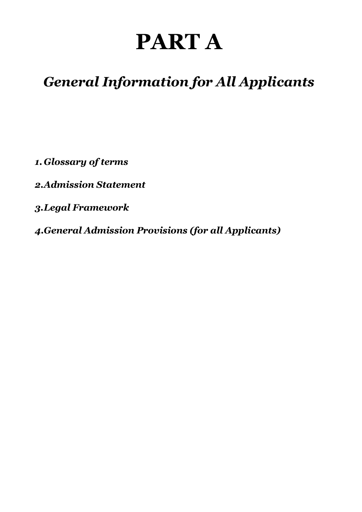# **PART A**

### *General Information for All Applicants*

*1. Glossary of terms*

*2.Admission Statement*

*3.Legal Framework*

*4.General Admission Provisions (for all Applicants)*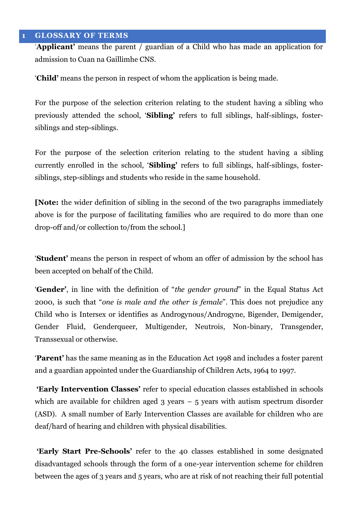#### **1 GLOSSARY OF TERMS**

‗**Applicant'** means the parent / guardian of a Child who has made an application for admission to Cuan na Gaillimhe CNS.

‗**Child'** means the person in respect of whom the application is being made.

For the purpose of the selection criterion relating to the student having a sibling who previously attended the school, ‗**Sibling'** refers to full siblings, half-siblings, fostersiblings and step-siblings.

For the purpose of the selection criterion relating to the student having a sibling currently enrolled in the school, '**Sibling'** refers to full siblings, half-siblings, fostersiblings, step-siblings and students who reside in the same household.

**[Note:** the wider definition of sibling in the second of the two paragraphs immediately above is for the purpose of facilitating families who are required to do more than one drop-off and/or collection to/from the school.]

‗**Student'** means the person in respect of whom an offer of admission by the school has been accepted on behalf of the Child.

**'Gender'**, in line with the definition of "*the gender ground*" in the Equal Status Act 2000, is such that "*one is male and the other is female*". This does not prejudice any Child who is Intersex or identifies as Androgynous/Androgyne, Bigender, Demigender, Gender Fluid, Genderqueer, Multigender, Neutrois, Non-binary, Transgender, Transsexual or otherwise*.* 

‗**Parent'** has the same meaning as in the Education Act 1998 and includes a foster parent and a guardian appointed under the Guardianship of Children Acts, 1964 to 1997.

**'Early Intervention Classes'** refer to special education classes established in schools which are available for children aged  $3$  years –  $5$  years with autism spectrum disorder (ASD). A small number of Early Intervention Classes are available for children who are deaf/hard of hearing and children with physical disabilities.

**'Early Start Pre-Schools'** refer to the 40 classes established in some designated disadvantaged schools through the form of a one-year intervention scheme for children between the ages of 3 years and 5 years, who are at risk of not reaching their full potential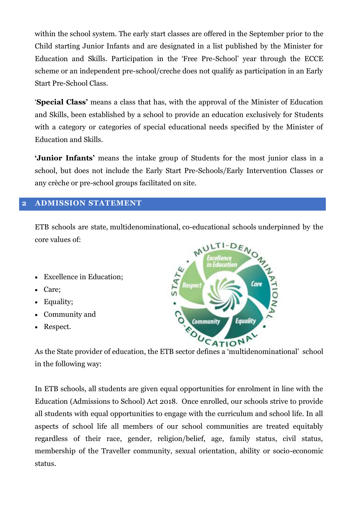within the school system. The early start classes are offered in the September prior to the Child starting Junior Infants and are designated in a list published by the Minister for Education and Skills. Participation in the ‗Free Pre-School' year through the ECCE scheme or an independent pre-school/creche does not qualify as participation in an Early Start Pre-School Class.

‗**Special Class'** means a class that has, with the approval of the Minister of Education and Skills, been established by a school to provide an education exclusively for Students with a category or categories of special educational needs specified by the Minister of Education and Skills.

**'Junior Infants'** means the intake group of Students for the most junior class in a school, but does not include the Early Start Pre-Schools/Early Intervention Classes or any crèche or pre-school groups facilitated on site.

#### **2 ADMISSION STATEMENT**

ETB schools are state, multidenominational, co-educational schools underpinned by the core values of:

- Excellence in Education;
- Care;
- Equality;
- Community and
- Respect.



As the State provider of education, the ETB sector defines a 'multidenominational' school in the following way:

In ETB schools, all students are given equal opportunities for enrolment in line with the Education (Admissions to School) Act 2018. Once enrolled, our schools strive to provide all students with equal opportunities to engage with the curriculum and school life. In all aspects of school life all members of our school communities are treated equitably regardless of their race, gender, religion/belief, age, family status, civil status, membership of the Traveller community, sexual orientation, ability or socio-economic status.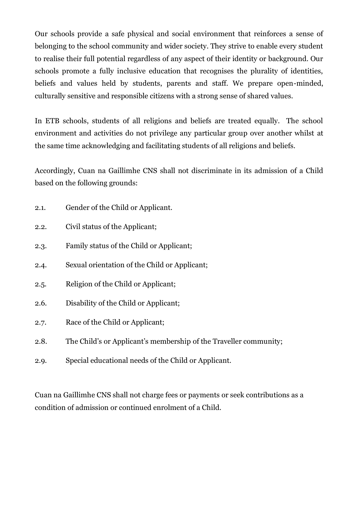Our schools provide a safe physical and social environment that reinforces a sense of belonging to the school community and wider society. They strive to enable every student to realise their full potential regardless of any aspect of their identity or background. Our schools promote a fully inclusive education that recognises the plurality of identities, beliefs and values held by students, parents and staff. We prepare open-minded, culturally sensitive and responsible citizens with a strong sense of shared values.

In ETB schools, students of all religions and beliefs are treated equally. The school environment and activities do not privilege any particular group over another whilst at the same time acknowledging and facilitating students of all religions and beliefs.

Accordingly, Cuan na Gaillimhe CNS shall not discriminate in its admission of a Child based on the following grounds:

- 2.1. Gender of the Child or Applicant.
- 2.2. Civil status of the Applicant;
- 2.3. Family status of the Child or Applicant;
- 2.4. Sexual orientation of the Child or Applicant;
- 2.5. Religion of the Child or Applicant;
- 2.6. Disability of the Child or Applicant;
- 2.7. Race of the Child or Applicant;
- 2.8. The Child's or Applicant's membership of the Traveller community;
- 2.9. Special educational needs of the Child or Applicant.

Cuan na Gaillimhe CNS shall not charge fees or payments or seek contributions as a condition of admission or continued enrolment of a Child.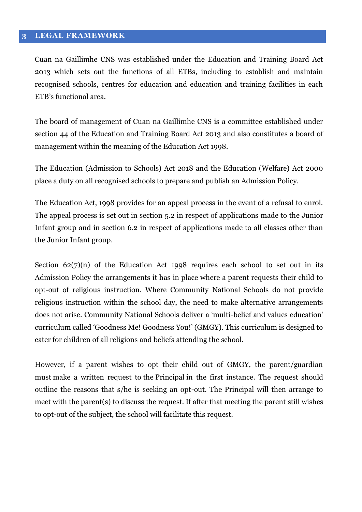#### **3 LEGAL FRAMEWORK**

Cuan na Gaillimhe CNS was established under the Education and Training Board Act 2013 which sets out the functions of all ETBs, including to establish and maintain recognised schools, centres for education and education and training facilities in each ETB's functional area.

The board of management of Cuan na Gaillimhe CNS is a committee established under section 44 of the Education and Training Board Act 2013 and also constitutes a board of management within the meaning of the Education Act 1998.

The Education (Admission to Schools) Act 2018 and the Education (Welfare) Act 2000 place a duty on all recognised schools to prepare and publish an Admission Policy.

The Education Act, 1998 provides for an appeal process in the event of a refusal to enrol. The appeal process is set out in section 5.2 in respect of applications made to the Junior Infant group and in section 6.2 in respect of applications made to all classes other than the Junior Infant group.

Section  $62(7)(n)$  of the Education Act 1998 requires each school to set out in its Admission Policy the arrangements it has in place where a parent requests their child to opt-out of religious instruction. Where Community National Schools do not provide religious instruction within the school day, the need to make alternative arrangements does not arise. Community National Schools deliver a 'multi-belief and values education' curriculum called ‗Goodness Me! Goodness You!' (GMGY). This curriculum is designed to cater for children of all religions and beliefs attending the school.

However, if a parent wishes to opt their child out of GMGY, the parent/guardian must make a written request to the Principal in the first instance. The request should outline the reasons that s/he is seeking an opt-out. The Principal will then arrange to meet with the parent(s) to discuss the request. If after that meeting the parent still wishes to opt-out of the subject, the school will facilitate this request.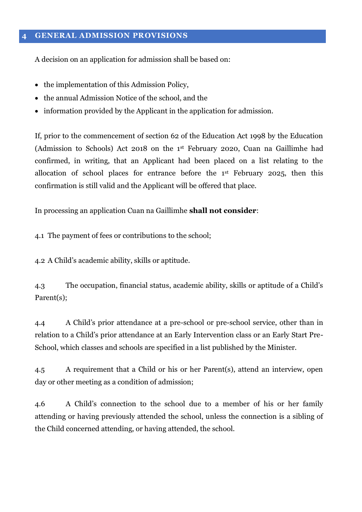#### **4 GENERAL ADMISSION PROVISIONS**

A decision on an application for admission shall be based on:

- the implementation of this Admission Policy,
- the annual Admission Notice of the school, and the
- information provided by the Applicant in the application for admission.

If, prior to the commencement of section 62 of the Education Act 1998 by the Education (Admission to Schools) Act 2018 on the 1st February 2020, Cuan na Gaillimhe had confirmed, in writing, that an Applicant had been placed on a list relating to the allocation of school places for entrance before the 1st February 2025, then this confirmation is still valid and the Applicant will be offered that place.

In processing an application Cuan na Gaillimhe **shall not consider**:

4.1 The payment of fees or contributions to the school;

4.2 A Child's academic ability, skills or aptitude.

4.3 The occupation, financial status, academic ability, skills or aptitude of a Child's Parent(s):

4.4 A Child's prior attendance at a pre-school or pre-school service, other than in relation to a Child's prior attendance at an Early Intervention class or an Early Start Pre-School, which classes and schools are specified in a list published by the Minister.

4.5 A requirement that a Child or his or her Parent(s), attend an interview, open day or other meeting as a condition of admission;

4.6 A Child's connection to the school due to a member of his or her family attending or having previously attended the school, unless the connection is a sibling of the Child concerned attending, or having attended, the school.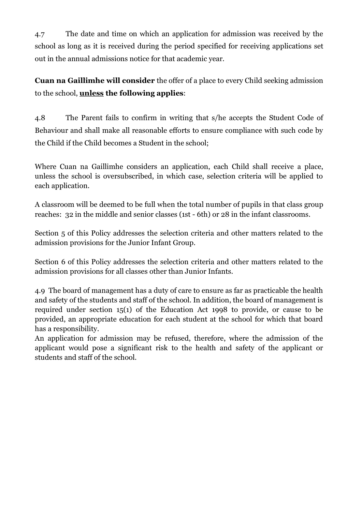4.7 The date and time on which an application for admission was received by the school as long as it is received during the period specified for receiving applications set out in the annual admissions notice for that academic year.

**Cuan na Gaillimhe will consider** the offer of a place to every Child seeking admission to the school, **unless the following applies**:

4.8 The Parent fails to confirm in writing that s/he accepts the Student Code of Behaviour and shall make all reasonable efforts to ensure compliance with such code by the Child if the Child becomes a Student in the school;

Where Cuan na Gaillimhe considers an application, each Child shall receive a place, unless the school is oversubscribed, in which case, selection criteria will be applied to each application.

A classroom will be deemed to be full when the total number of pupils in that class group reaches: 32 in the middle and senior classes (1st - 6th) or 28 in the infant classrooms.

Section 5 of this Policy addresses the selection criteria and other matters related to the admission provisions for the Junior Infant Group.

Section 6 of this Policy addresses the selection criteria and other matters related to the admission provisions for all classes other than Junior Infants.

4.9 The board of management has a duty of care to ensure as far as practicable the health and safety of the students and staff of the school. In addition, the board of management is required under section 15(1) of the Education Act 1998 to provide, or cause to be provided, an appropriate education for each student at the school for which that board has a responsibility.

An application for admission may be refused, therefore, where the admission of the applicant would pose a significant risk to the health and safety of the applicant or students and staff of the school.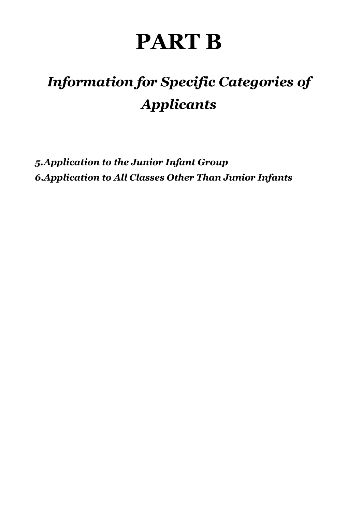# **PART B**

# *Information for Specific Categories of Applicants*

*5.Application to the Junior Infant Group 6.Application to All Classes Other Than Junior Infants*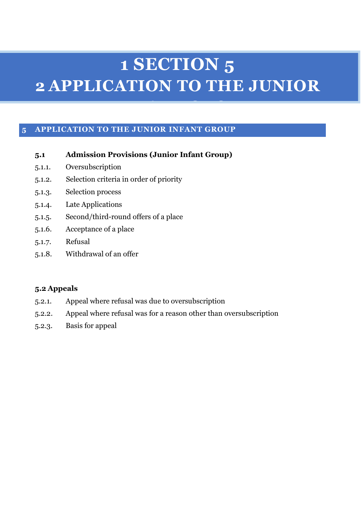# **1 SECTION 5 2 APPLICATION TO THE JUNIOR**

**INFANT GROUP** 

#### **5 APPLICATION TO THE JUNIOR INFANT GROUP**

#### **5.1 Admission Provisions (Junior Infant Group)**

- 5.1.1. Oversubscription
- 5.1.2. Selection criteria in order of priority
- 5.1.3. Selection process
- 5.1.4. Late Applications
- 5.1.5. Second/third-round offers of a place
- 5.1.6. Acceptance of a place
- 5.1.7. Refusal
- 5.1.8. Withdrawal of an offer

#### **5.2 Appeals**

- 5.2.1. Appeal where refusal was due to oversubscription
- 5.2.2. Appeal where refusal was for a reason other than oversubscription
- 5.2.3. Basis for appeal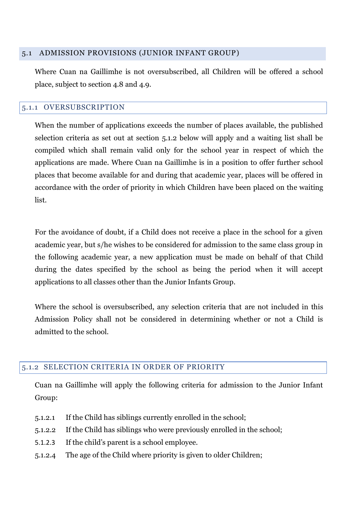#### 5.1 ADMISSION PROVISIONS (JUNIOR INFANT GROUP)

Where Cuan na Gaillimhe is not oversubscribed, all Children will be offered a school place, subject to section 4.8 and 4.9.

#### 5.1.1 OVERSUBSCRIPTION

When the number of applications exceeds the number of places available, the published selection criteria as set out at section 5.1.2 below will apply and a waiting list shall be compiled which shall remain valid only for the school year in respect of which the applications are made. Where Cuan na Gaillimhe is in a position to offer further school places that become available for and during that academic year, places will be offered in accordance with the order of priority in which Children have been placed on the waiting list.

For the avoidance of doubt, if a Child does not receive a place in the school for a given academic year, but s/he wishes to be considered for admission to the same class group in the following academic year, a new application must be made on behalf of that Child during the dates specified by the school as being the period when it will accept applications to all classes other than the Junior Infants Group.

Where the school is oversubscribed, any selection criteria that are not included in this Admission Policy shall not be considered in determining whether or not a Child is admitted to the school.

#### 5.1.2 SELECTION CRITERIA IN ORDER OF PRIORITY

Cuan na Gaillimhe will apply the following criteria for admission to the Junior Infant Group:

- 5.1.2.1 If the Child has siblings currently enrolled in the school;
- 5.1.2.2 If the Child has siblings who were previously enrolled in the school;
- 5.1.2.3 If the child's parent is a school employee.
- 5.1.2.4 The age of the Child where priority is given to older Children;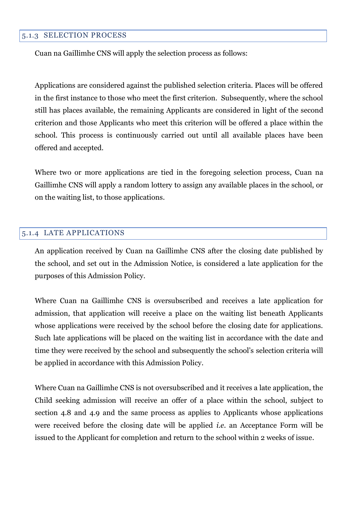#### 5.1.3 SELECTION PROCESS

Cuan na Gaillimhe CNS will apply the selection process as follows:

Applications are considered against the published selection criteria. Places will be offered in the first instance to those who meet the first criterion. Subsequently, where the school still has places available, the remaining Applicants are considered in light of the second criterion and those Applicants who meet this criterion will be offered a place within the school. This process is continuously carried out until all available places have been offered and accepted.

Where two or more applications are tied in the foregoing selection process, Cuan na Gaillimhe CNS will apply a random lottery to assign any available places in the school, or on the waiting list, to those applications.

#### 5.1.4 LATE APPLICATIONS

An application received by Cuan na Gaillimhe CNS after the closing date published by the school, and set out in the Admission Notice, is considered a late application for the purposes of this Admission Policy.

Where Cuan na Gaillimhe CNS is oversubscribed and receives a late application for admission, that application will receive a place on the waiting list beneath Applicants whose applications were received by the school before the closing date for applications. Such late applications will be placed on the waiting list in accordance with the date and time they were received by the school and subsequently the school's selection criteria will be applied in accordance with this Admission Policy.

Where Cuan na Gaillimhe CNS is not oversubscribed and it receives a late application, the Child seeking admission will receive an offer of a place within the school, subject to section 4.8 and 4.9 and the same process as applies to Applicants whose applications were received before the closing date will be applied *i.e.* an Acceptance Form will be issued to the Applicant for completion and return to the school within 2 weeks of issue*.*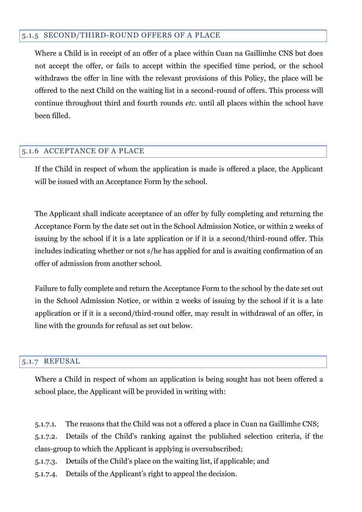#### 5.1.5 SECOND/THIRD-ROUND OFFERS OF A PLACE

Where a Child is in receipt of an offer of a place within Cuan na Gaillimhe CNS but does not accept the offer, or fails to accept within the specified time period, or the school withdraws the offer in line with the relevant provisions of this Policy, the place will be offered to the next Child on the waiting list in a second-round of offers. This process will continue throughout third and fourth rounds *etc.* until all places within the school have been filled.

#### 5.1.6 ACCEPTANCE OF A PLACE

If the Child in respect of whom the application is made is offered a place, the Applicant will be issued with an Acceptance Form by the school.

The Applicant shall indicate acceptance of an offer by fully completing and returning the Acceptance Form by the date set out in the School Admission Notice, or within 2 weeks of issuing by the school if it is a late application or if it is a second/third-round offer. This includes indicating whether or not s/he has applied for and is awaiting confirmation of an offer of admission from another school.

Failure to fully complete and return the Acceptance Form to the school by the date set out in the School Admission Notice, or within 2 weeks of issuing by the school if it is a late application or if it is a second/third-round offer, may result in withdrawal of an offer, in line with the grounds for refusal as set out below.

#### 5.1.7 REFUSAL

Where a Child in respect of whom an application is being sought has not been offered a school place, the Applicant will be provided in writing with:

5.1.7.1. The reasons that the Child was not a offered a place in Cuan na Gaillimhe CNS;

5.1.7.2. Details of the Child's ranking against the published selection criteria, if the class-group to which the Applicant is applying is oversubscribed;

- 5.1.7.3. Details of the Child's place on the waiting list, if applicable; and
- 5.1.7.4. Details of the Applicant's right to appeal the decision.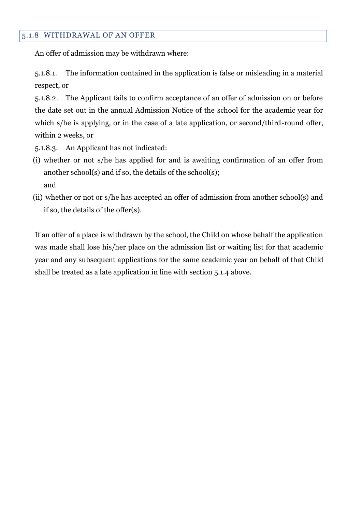#### 5.1.8 WITHDRAWAL OF AN OFFER

An offer of admission may be withdrawn where:

5.1.8.1. The information contained in the application is false or misleading in a material respect, or

5.1.8.2. The Applicant fails to confirm acceptance of an offer of admission on or before the date set out in the annual Admission Notice of the school for the academic year for which s/he is applying, or in the case of a late application, or second/third-round offer, within 2 weeks, or

5.1.8.3. An Applicant has not indicated:

- (i) whether or not s/he has applied for and is awaiting confirmation of an offer from another school(s) and if so, the details of the school(s); and
- (ii) whether or not or s/he has accepted an offer of admission from another school(s) and if so, the details of the offer(s).

If an offer of a place is withdrawn by the school, the Child on whose behalf the application was made shall lose his/her place on the admission list or waiting list for that academic year and any subsequent applications for the same academic year on behalf of that Child shall be treated as a late application in line with section 5.1.4 above.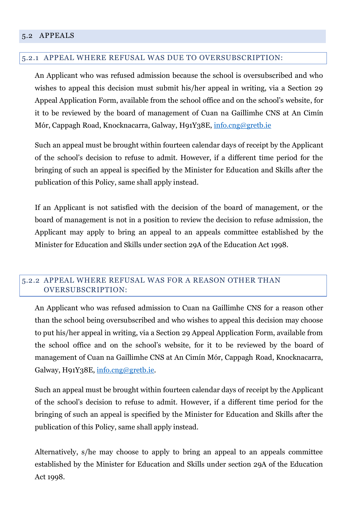#### 5.2 APPEALS

#### 5.2.1 APPEAL WHERE REFUSAL WAS DUE TO OVERSUBSCRIPTION:

An Applicant who was refused admission because the school is oversubscribed and who wishes to appeal this decision must submit his/her appeal in writing, via a Section 29 Appeal Application Form, available from the school office and on the school's website, for it to be reviewed by the board of management of Cuan na Gaillimhe CNS at An Cimín Mór, Cappagh Road, Knocknacarra, Galway, H91Y38E, [info.cng@gretb.ie](mailto:info.cng@gretb.ie)

Such an appeal must be brought within fourteen calendar days of receipt by the Applicant of the school's decision to refuse to admit. However, if a different time period for the bringing of such an appeal is specified by the Minister for Education and Skills after the publication of this Policy, same shall apply instead.

If an Applicant is not satisfied with the decision of the board of management, or the board of management is not in a position to review the decision to refuse admission, the Applicant may apply to bring an appeal to an appeals committee established by the Minister for Education and Skills under section 29A of the Education Act 1998.

#### 5.2.2 APPEAL WHERE REFUSAL WAS FOR A REASON OTHER THAN OVERSUBSCRIPTION:

An Applicant who was refused admission to Cuan na Gaillimhe CNS for a reason other than the school being oversubscribed and who wishes to appeal this decision may choose to put his/her appeal in writing, via a Section 29 Appeal Application Form, available from the school office and on the school's website, for it to be reviewed by the board of management of Cuan na Gaillimhe CNS at An Cimín Mór, Cappagh Road, Knocknacarra, Galway, H91Y38E, [info.cng@gretb.ie.](mailto:info.cng@gretb.ie)

Such an appeal must be brought within fourteen calendar days of receipt by the Applicant of the school's decision to refuse to admit. However, if a different time period for the bringing of such an appeal is specified by the Minister for Education and Skills after the publication of this Policy, same shall apply instead.

Alternatively, s/he may choose to apply to bring an appeal to an appeals committee established by the Minister for Education and Skills under section 29A of the Education Act 1998.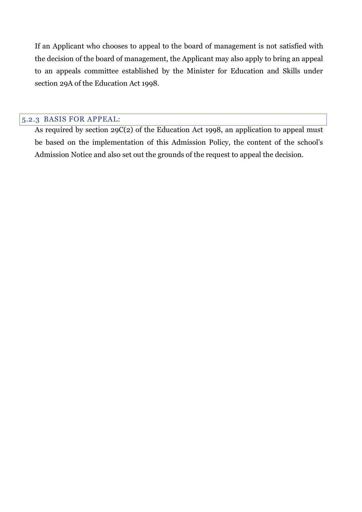If an Applicant who chooses to appeal to the board of management is not satisfied with the decision of the board of management, the Applicant may also apply to bring an appeal to an appeals committee established by the Minister for Education and Skills under section 29A of the Education Act 1998.

#### 5.2.3 BASIS FOR APPEAL:

As required by section 29C(2) of the Education Act 1998, an application to appeal must be based on the implementation of this Admission Policy, the content of the school's Admission Notice and also set out the grounds of the request to appeal the decision.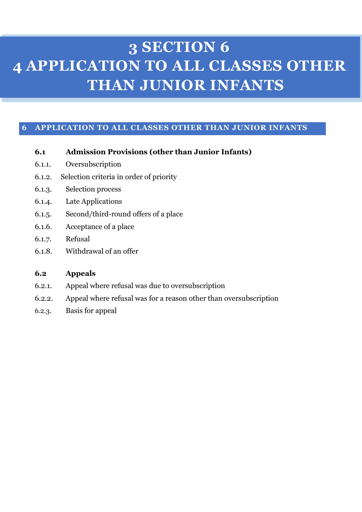### **3 SECTION 6 4 APPLICATION TO ALL CLASSES OTHER THAN JUNIOR INFANTS**

#### **6 APPLICATION TO ALL CLASSES OTHER THAN JUNIOR INFANTS**

- **6.1 Admission Provisions (other than Junior Infants)**
- 6.1.1. Oversubscription
- 6.1.2. Selection criteria in order of priority
- 6.1.3. Selection process
- 6.1.4. Late Applications
- 6.1.5. Second/third-round offers of a place
- 6.1.6. Acceptance of a place
- 6.1.7. Refusal
- 6.1.8. Withdrawal of an offer

#### **6.2 Appeals**

- 6.2.1. Appeal where refusal was due to oversubscription
- 6.2.2. Appeal where refusal was for a reason other than oversubscription
- 6.2.3. Basis for appeal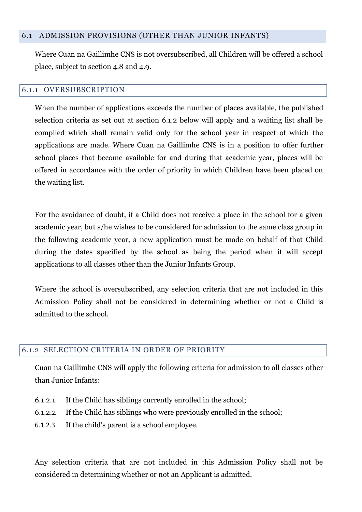#### 6.1 ADMISSION PROVISIONS (OTHER THAN JUNIOR INFANTS)

Where Cuan na Gaillimhe CNS is not oversubscribed, all Children will be offered a school place, subject to section 4.8 and 4.9.

#### 6.1.1 OVERSUBSCRIPTION

When the number of applications exceeds the number of places available, the published selection criteria as set out at section 6.1.2 below will apply and a waiting list shall be compiled which shall remain valid only for the school year in respect of which the applications are made. Where Cuan na Gaillimhe CNS is in a position to offer further school places that become available for and during that academic year, places will be offered in accordance with the order of priority in which Children have been placed on the waiting list.

For the avoidance of doubt, if a Child does not receive a place in the school for a given academic year, but s/he wishes to be considered for admission to the same class group in the following academic year, a new application must be made on behalf of that Child during the dates specified by the school as being the period when it will accept applications to all classes other than the Junior Infants Group.

Where the school is oversubscribed, any selection criteria that are not included in this Admission Policy shall not be considered in determining whether or not a Child is admitted to the school.

#### 6.1.2 SELECTION CRITERIA IN ORDER OF PRIORITY

Cuan na Gaillimhe CNS will apply the following criteria for admission to all classes other than Junior Infants:

- 6.1.2.1 If the Child has siblings currently enrolled in the school;
- 6.1.2.2 If the Child has siblings who were previously enrolled in the school;
- 6.1.2.3 If the child's parent is a school employee.

Any selection criteria that are not included in this Admission Policy shall not be considered in determining whether or not an Applicant is admitted.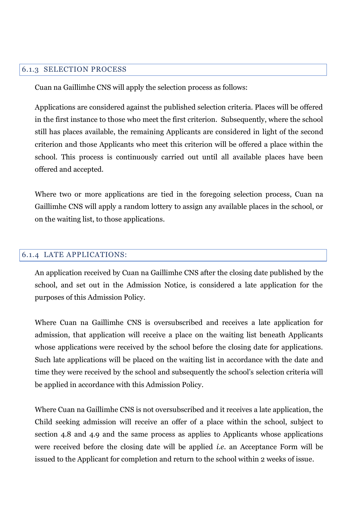#### 6.1.3 SELECTION PROCESS

Cuan na Gaillimhe CNS will apply the selection process as follows:

Applications are considered against the published selection criteria. Places will be offered in the first instance to those who meet the first criterion. Subsequently, where the school still has places available, the remaining Applicants are considered in light of the second criterion and those Applicants who meet this criterion will be offered a place within the school. This process is continuously carried out until all available places have been offered and accepted.

Where two or more applications are tied in the foregoing selection process, Cuan na Gaillimhe CNS will apply a random lottery to assign any available places in the school, or on the waiting list, to those applications.

#### 6.1.4 LATE APPLICATIONS:

An application received by Cuan na Gaillimhe CNS after the closing date published by the school, and set out in the Admission Notice, is considered a late application for the purposes of this Admission Policy.

Where Cuan na Gaillimhe CNS is oversubscribed and receives a late application for admission, that application will receive a place on the waiting list beneath Applicants whose applications were received by the school before the closing date for applications. Such late applications will be placed on the waiting list in accordance with the date and time they were received by the school and subsequently the school's selection criteria will be applied in accordance with this Admission Policy.

Where Cuan na Gaillimhe CNS is not oversubscribed and it receives a late application, the Child seeking admission will receive an offer of a place within the school, subject to section 4.8 and 4.9 and the same process as applies to Applicants whose applications were received before the closing date will be applied *i.e.* an Acceptance Form will be issued to the Applicant for completion and return to the school within 2 weeks of issue*.*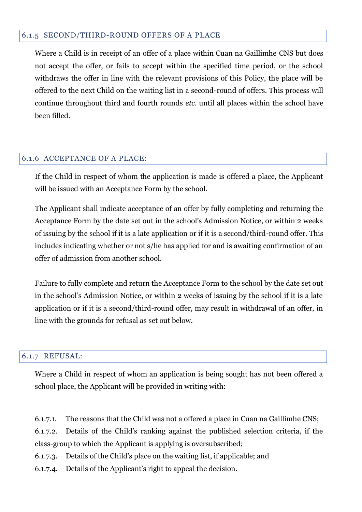#### 6.1.5 SECOND/THIRD-ROUND OFFERS OF A PLACE

Where a Child is in receipt of an offer of a place within Cuan na Gaillimhe CNS but does not accept the offer, or fails to accept within the specified time period, or the school withdraws the offer in line with the relevant provisions of this Policy, the place will be offered to the next Child on the waiting list in a second-round of offers. This process will continue throughout third and fourth rounds *etc.* until all places within the school have been filled.

#### 6.1.6 ACCEPTANCE OF A PLACE:

If the Child in respect of whom the application is made is offered a place, the Applicant will be issued with an Acceptance Form by the school.

The Applicant shall indicate acceptance of an offer by fully completing and returning the Acceptance Form by the date set out in the school's Admission Notice, or within 2 weeks of issuing by the school if it is a late application or if it is a second/third-round offer. This includes indicating whether or not s/he has applied for and is awaiting confirmation of an offer of admission from another school.

Failure to fully complete and return the Acceptance Form to the school by the date set out in the school's Admission Notice, or within 2 weeks of issuing by the school if it is a late application or if it is a second/third-round offer, may result in withdrawal of an offer, in line with the grounds for refusal as set out below.

#### 6.1.7 REFUSAL:

Where a Child in respect of whom an application is being sought has not been offered a school place, the Applicant will be provided in writing with:

6.1.7.1. The reasons that the Child was not a offered a place in Cuan na Gaillimhe CNS;

6.1.7.2. Details of the Child's ranking against the published selection criteria, if the class-group to which the Applicant is applying is oversubscribed;

6.1.7.3. Details of the Child's place on the waiting list, if applicable; and

6.1.7.4. Details of the Applicant's right to appeal the decision.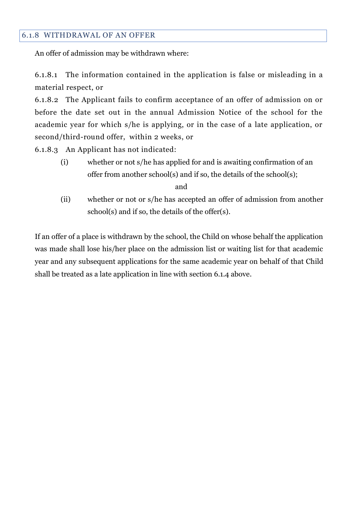#### 6.1.8 WITHDRAWAL OF AN OFFER

An offer of admission may be withdrawn where:

6.1.8.1 The information contained in the application is false or misleading in a material respect, or

6.1.8.2 The Applicant fails to confirm acceptance of an offer of admission on or before the date set out in the annual Admission Notice of the school for the academic year for which s/he is applying, or in the case of a late application, or second/third-round offer, within 2 weeks, or

6.1.8.3 An Applicant has not indicated:

(i) whether or not s/he has applied for and is awaiting confirmation of an offer from another school(s) and if so, the details of the school(s);

and

(ii) whether or not or s/he has accepted an offer of admission from another school(s) and if so, the details of the offer(s).

If an offer of a place is withdrawn by the school, the Child on whose behalf the application was made shall lose his/her place on the admission list or waiting list for that academic year and any subsequent applications for the same academic year on behalf of that Child shall be treated as a late application in line with section 6.1.4 above.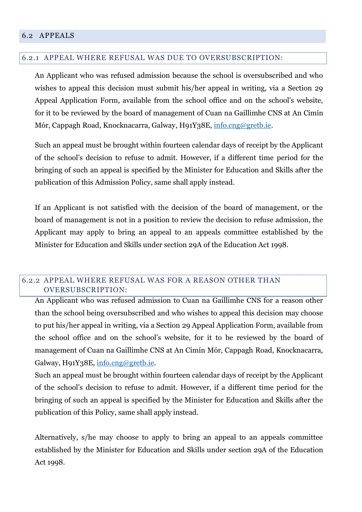#### 6.2 APPEALS

#### 6.2.1 APPEAL WHERE REFUSAL WAS DUE TO OVERSUBSCRIPTION:

An Applicant who was refused admission because the school is oversubscribed and who wishes to appeal this decision must submit his/her appeal in writing, via a Section 29 Appeal Application Form, available from the school office and on the school's website, for it to be reviewed by the board of management of Cuan na Gaillimhe CNS at An Cimín Mór, Cappagh Road, Knocknacarra, Galway, H91Y38E, [info.cng@gretb.ie.](mailto:info.cng@gretb.ie)

Such an appeal must be brought within fourteen calendar days of receipt by the Applicant of the school's decision to refuse to admit. However, if a different time period for the bringing of such an appeal is specified by the Minister for Education and Skills after the publication of this Admission Policy, same shall apply instead.

If an Applicant is not satisfied with the decision of the board of management, or the board of management is not in a position to review the decision to refuse admission, the Applicant may apply to bring an appeal to an appeals committee established by the Minister for Education and Skills under section 29A of the Education Act 1998.

#### 6.2.2 APPEAL WHERE REFUSAL WAS FOR A REASON OTHER THAN OVERSUBSCRIPTION:

An Applicant who was refused admission to Cuan na Gaillimhe CNS for a reason other than the school being oversubscribed and who wishes to appeal this decision may choose to put his/her appeal in writing, via a Section 29 Appeal Application Form, available from the school office and on the school's website, for it to be reviewed by the board of management of Cuan na Gaillimhe CNS at An Cimín Mór, Cappagh Road, Knocknacarra, Galway, H91Y38E, [info.cng@gretb.ie.](mailto:info.cng@gretb.ie)

Such an appeal must be brought within fourteen calendar days of receipt by the Applicant of the school's decision to refuse to admit. However, if a different time period for the bringing of such an appeal is specified by the Minister for Education and Skills after the publication of this Policy, same shall apply instead.

Alternatively, s/he may choose to apply to bring an appeal to an appeals committee established by the Minister for Education and Skills under section 29A of the Education Act 1998.